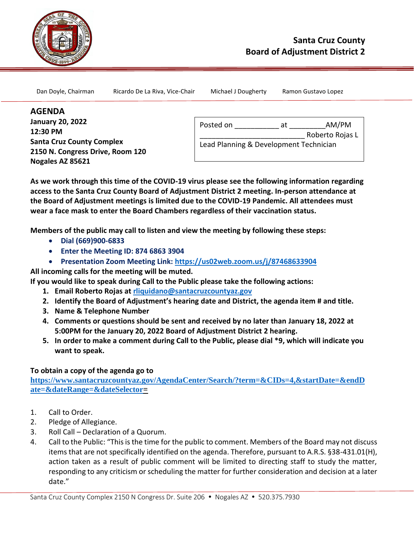

|  | Dan Doyle, Chairman |  | R |
|--|---------------------|--|---|
|--|---------------------|--|---|

icardo De La Riva, Vice-Chair Michael J Dougherty Ramon Gustavo Lopez

| <b>AGENDA</b>                    |                                        |    |                 |
|----------------------------------|----------------------------------------|----|-----------------|
| <b>January 20, 2022</b>          | Posted on                              | at | AM/PM           |
| 12:30 PM                         |                                        |    | Roberto Rojas L |
| <b>Santa Cruz County Complex</b> | Lead Planning & Development Technician |    |                 |
| 2150 N. Congress Drive, Room 120 |                                        |    |                 |
| Nogales AZ 85621                 |                                        |    |                 |

**As we work through this time of the COVID-19 virus please see the following information regarding access to the Santa Cruz County Board of Adjustment District 2 meeting. In-person attendance at the Board of Adjustment meetings is limited due to the COVID-19 Pandemic. All attendees must wear a face mask to enter the Board Chambers regardless of their vaccination status.**

**Members of the public may call to listen and view the meeting by following these steps:** 

- **Dial (669)900-6833**
- **Enter the Meeting ID: 874 6863 3904**
- **Presentation Zoom Meeting Link:<https://us02web.zoom.us/j/87468633904>**

**All incoming calls for the meeting will be muted.** 

**If you would like to speak during Call to the Public please take the following actions:** 

- **1. Email Roberto Rojas at [rliquidano@santacruzcountyaz.gov](mailto:rliquidano@santacruzcountyaz.gov)**
- **2. Identify the Board of Adjustment's hearing date and District, the agenda item # and title.**
- **3. Name & Telephone Number**
- **4. Comments or questions should be sent and received by no later than January 18, 2022 at 5:00PM for the January 20, 2022 Board of Adjustment District 2 hearing.**
- **5. In order to make a comment during Call to the Public, please dial \*9, which will indicate you want to speak.**

## **To obtain a copy of the agenda go to**

**[https://www.santacruzcountyaz.gov/AgendaCenter/Search/?term=&CIDs=4,&startDate=&endD](https://www.santacruzcountyaz.gov/AgendaCenter/Search/?term=&CIDs=4,&startDate=&endDate=&dateRange=&dateSelector) [ate=&dateRange=&dateSelector=](https://www.santacruzcountyaz.gov/AgendaCenter/Search/?term=&CIDs=4,&startDate=&endDate=&dateRange=&dateSelector)**

- 1. Call to Order.
- 2. Pledge of Allegiance.
- 3. Roll Call Declaration of a Quorum.
- 4. Call to the Public: "This is the time for the public to comment. Members of the Board may not discuss items that are not specifically identified on the agenda. Therefore, pursuant to A.R.S. §38-431.01(H), action taken as a result of public comment will be limited to directing staff to study the matter, responding to any criticism or scheduling the matter for further consideration and decision at a later date."